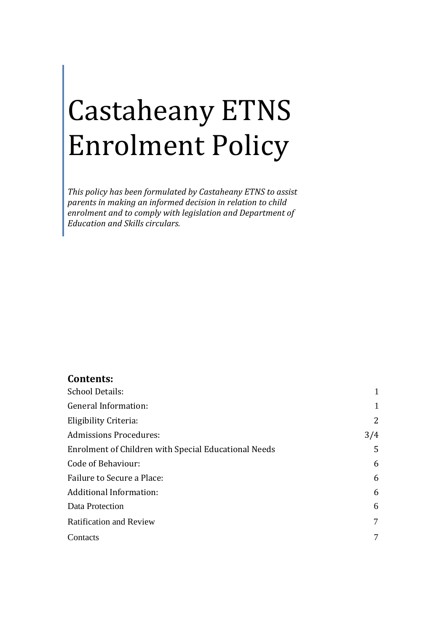# Castaheany ETNS Enrolment Policy

*This policy has been formulated by Castaheany ETNS to assist parents in making an informed decision in relation to child enrolment and to comply with legislation and Department of Education and Skills circulars.*

#### **Contents:**

| <b>School Details:</b>                               |     |
|------------------------------------------------------|-----|
| General Information:                                 | 1   |
| Eligibility Criteria:                                | 2   |
| <b>Admissions Procedures:</b>                        | 3/4 |
| Enrolment of Children with Special Educational Needs | 5   |
| Code of Behaviour:                                   | 6   |
| Failure to Secure a Place:                           | 6   |
| <b>Additional Information:</b>                       | 6   |
| Data Protection                                      | 6   |
| <b>Ratification and Review</b>                       | 7   |
| Contacts                                             | 7   |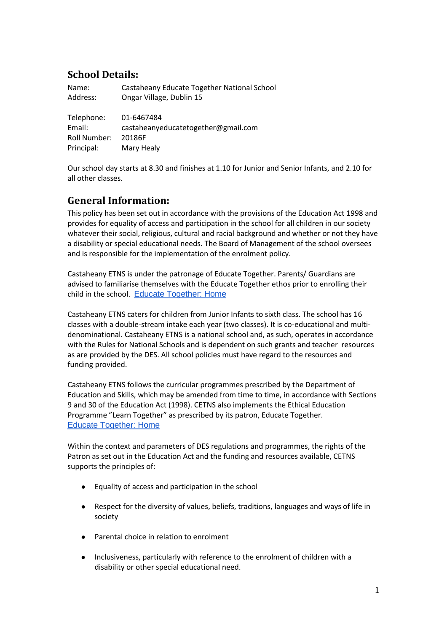# **School Details:**

| Name:        | Castaheany Educate Together National School |
|--------------|---------------------------------------------|
| Address:     | Ongar Village, Dublin 15                    |
|              |                                             |
| Telephone:   | 01-6467484                                  |
| Email:       | castaheanyeducatetogether@gmail.com         |
| Roll Number: | 20186F                                      |
| Principal:   | Mary Healy                                  |

Our school day starts at 8.30 and finishes at 1.10 for Junior and Senior Infants, and 2.10 for all other classes.

# **General Information:**

This policy has been set out in accordance with the provisions of the Education Act 1998 and provides for equality of access and participation in the school for all children in our society whatever their social, religious, cultural and racial background and whether or not they have a disability or special educational needs. The Board of Management of the school oversees and is responsible for the implementation of the enrolment policy.

Castaheany ETNS is under the patronage of Educate Together. Parents/ Guardians are advised to familiarise themselves with the Educate Together ethos prior to enrolling their child in the school. [Educate Together: Home](https://www.educatetogether.ie/)

Castaheany ETNS caters for children from Junior Infants to sixth class. The school has 16 classes with a double-stream intake each year (two classes). It is co-educational and multidenominational. Castaheany ETNS is a national school and, as such, operates in accordance with the Rules for National Schools and is dependent on such grants and teacher resources as are provided by the DES. All school policies must have regard to the resources and funding provided.

Castaheany ETNS follows the curricular programmes prescribed by the Department of Education and Skills, which may be amended from time to time, in accordance with Sections 9 and 30 of the Education Act (1998). CETNS also implements the Ethical Education Programme "Learn Together" as prescribed by its patron, Educate Together. Educate [Together: Home](https://www.educatetogether.ie/)

Within the context and parameters of DES regulations and programmes, the rights of the Patron as set out in the Education Act and the funding and resources available, CETNS supports the principles of:

- Equality of access and participation in the school
- Respect for the diversity of values, beliefs, traditions, languages and ways of life in society
- Parental choice in relation to enrolment
- Inclusiveness, particularly with reference to the enrolment of children with a disability or other special educational need.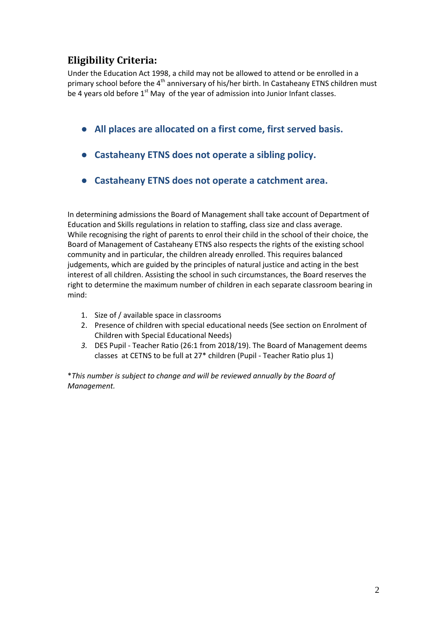# **Eligibility Criteria:**

Under the Education Act 1998, a child may not be allowed to attend or be enrolled in a primary school before the 4<sup>th</sup> anniversary of his/her birth. In Castaheany ETNS children must be 4 years old before  $1<sup>st</sup>$  May of the year of admission into Junior Infant classes.

- **All places are allocated on a first come, first served basis.**
- **Castaheany ETNS does not operate a sibling policy.**
- **Castaheany ETNS does not operate a catchment area.**

In determining admissions the Board of Management shall take account of Department of Education and Skills regulations in relation to staffing, class size and class average. While recognising the right of parents to enrol their child in the school of their choice, the Board of Management of Castaheany ETNS also respects the rights of the existing school community and in particular, the children already enrolled. This requires balanced judgements, which are guided by the principles of natural justice and acting in the best interest of all children. Assisting the school in such circumstances, the Board reserves the right to determine the maximum number of children in each separate classroom bearing in mind:

- 1. Size of / available space in classrooms
- 2. Presence of children with special educational needs (See section on Enrolment of Children with Special Educational Needs)
- *3.* DES Pupil Teacher Ratio (26:1 from 2018/19). The Board of Management deems classes at CETNS to be full at 27\* children (Pupil - Teacher Ratio plus 1)

\**This number is subject to change and will be reviewed annually by the Board of Management.*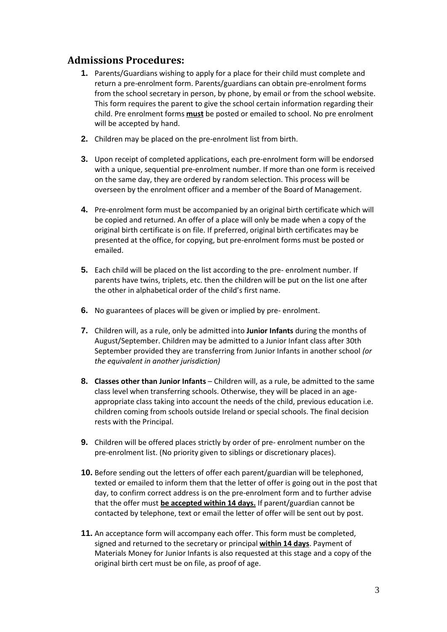## **Admissions Procedures:**

- **1.** Parents/Guardians wishing to apply for a place for their child must complete and return a pre-enrolment form. Parents/guardians can obtain pre-enrolment forms from the school secretary in person, by phone, by email or from the school website. This form requires the parent to give the school certain information regarding their child. Pre enrolment forms **must** be posted or emailed to school. No pre enrolment will be accepted by hand.
- **2.** Children may be placed on the pre-enrolment list from birth.
- **3.** Upon receipt of completed applications, each pre-enrolment form will be endorsed with a unique, sequential pre-enrolment number. If more than one form is received on the same day, they are ordered by random selection. This process will be overseen by the enrolment officer and a member of the Board of Management.
- **4.** Pre-enrolment form must be accompanied by an original birth certificate which will be copied and returned. An offer of a place will only be made when a copy of the original birth certificate is on file. If preferred, original birth certificates may be presented at the office, for copying, but pre-enrolment forms must be posted or emailed.
- **5.** Each child will be placed on the list according to the pre- enrolment number. If parents have twins, triplets, etc. then the children will be put on the list one after the other in alphabetical order of the child's first name.
- **6.** No guarantees of places will be given or implied by pre- enrolment.
- **7.** Children will, as a rule, only be admitted into **Junior Infants** during the months of August/September. Children may be admitted to a Junior Infant class after 30th September provided they are transferring from Junior Infants in another school *(or the equivalent in another jurisdiction)*
- **8. Classes other than Junior Infants** Children will, as a rule, be admitted to the same class level when transferring schools. Otherwise, they will be placed in an ageappropriate class taking into account the needs of the child, previous education i.e. children coming from schools outside Ireland or special schools. The final decision rests with the Principal.
- **9.** Children will be offered places strictly by order of pre- enrolment number on the pre-enrolment list. (No priority given to siblings or discretionary places).
- **10.** Before sending out the letters of offer each parent/guardian will be telephoned, texted or emailed to inform them that the letter of offer is going out in the post that day, to confirm correct address is on the pre-enrolment form and to further advise that the offer must **be accepted within 14 days.** If parent/guardian cannot be contacted by telephone, text or email the letter of offer will be sent out by post.
- **11.** An acceptance form will accompany each offer. This form must be completed, signed and returned to the secretary or principal **within 14 days**. Payment of Materials Money for Junior Infants is also requested at this stage and a copy of the original birth cert must be on file, as proof of age.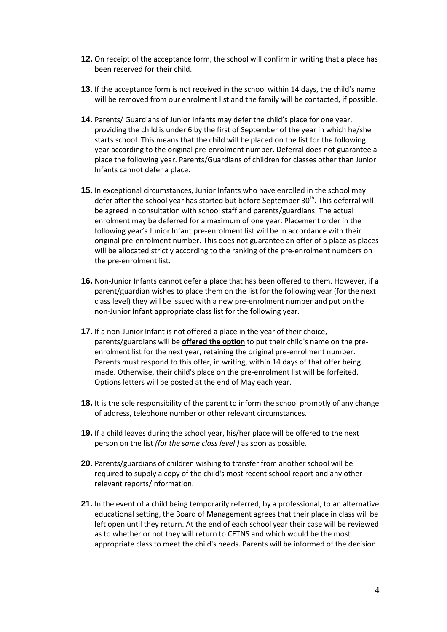- **12.** On receipt of the acceptance form, the school will confirm in writing that a place has been reserved for their child.
- **13.** If the acceptance form is not received in the school within 14 days, the child's name will be removed from our enrolment list and the family will be contacted, if possible.
- **14.** Parents/ Guardians of Junior Infants may defer the child's place for one year, providing the child is under 6 by the first of September of the year in which he/she starts school. This means that the child will be placed on the list for the following year according to the original pre-enrolment number. Deferral does not guarantee a place the following year. Parents/Guardians of children for classes other than Junior Infants cannot defer a place.
- **15.** In exceptional circumstances, Junior Infants who have enrolled in the school may defer after the school year has started but before September  $30<sup>th</sup>$ . This deferral will be agreed in consultation with school staff and parents/guardians. The actual enrolment may be deferred for a maximum of one year. Placement order in the following year's Junior Infant pre-enrolment list will be in accordance with their original pre-enrolment number. This does not guarantee an offer of a place as places will be allocated strictly according to the ranking of the pre-enrolment numbers on the pre-enrolment list.
- **16.** Non-Junior Infants cannot defer a place that has been offered to them. However, if a parent/guardian wishes to place them on the list for the following year (for the next class level) they will be issued with a new pre-enrolment number and put on the non-Junior Infant appropriate class list for the following year.
- **17.** If a non-Junior Infant is not offered a place in the year of their choice, parents/guardians will be **offered the option** to put their child's name on the preenrolment list for the next year, retaining the original pre-enrolment number. Parents must respond to this offer, in writing, within 14 days of that offer being made. Otherwise, their child's place on the pre-enrolment list will be forfeited. Options letters will be posted at the end of May each year.
- **18.** It is the sole responsibility of the parent to inform the school promptly of any change of address, telephone number or other relevant circumstances.
- **19.** If a child leaves during the school year, his/her place will be offered to the next person on the list *(for the same class level )* as soon as possible.
- **20.** Parents/guardians of children wishing to transfer from another school will be required to supply a copy of the child's most recent school report and any other relevant reports/information.
- **21.** In the event of a child being temporarily referred, by a professional, to an alternative educational setting, the Board of Management agrees that their place in class will be left open until they return. At the end of each school year their case will be reviewed as to whether or not they will return to CETNS and which would be the most appropriate class to meet the child's needs. Parents will be informed of the decision.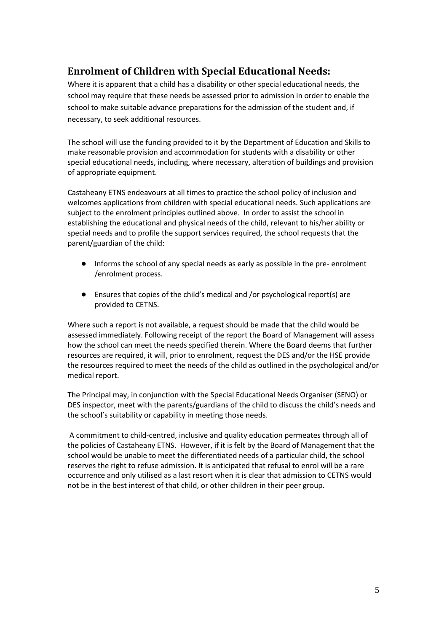# **Enrolment of Children with Special Educational Needs:**

Where it is apparent that a child has a disability or other special educational needs, the school may require that these needs be assessed prior to admission in order to enable the school to make suitable advance preparations for the admission of the student and, if necessary, to seek additional resources.

The school will use the funding provided to it by the Department of Education and Skills to make reasonable provision and accommodation for students with a disability or other special educational needs, including, where necessary, alteration of buildings and provision of appropriate equipment.

Castaheany ETNS endeavours at all times to practice the school policy of inclusion and welcomes applications from children with special educational needs. Such applications are subject to the enrolment principles outlined above. In order to assist the school in establishing the educational and physical needs of the child, relevant to his/her ability or special needs and to profile the support services required, the school requests that the parent/guardian of the child:

- Informs the school of any special needs as early as possible in the pre- enrolment /enrolment process.
- Ensures that copies of the child's medical and /or psychological report(s) are provided to CETNS.

Where such a report is not available, a request should be made that the child would be assessed immediately. Following receipt of the report the Board of Management will assess how the school can meet the needs specified therein. Where the Board deems that further resources are required, it will, prior to enrolment, request the DES and/or the HSE provide the resources required to meet the needs of the child as outlined in the psychological and/or medical report.

The Principal may, in conjunction with the Special Educational Needs Organiser (SENO) or DES inspector, meet with the parents/guardians of the child to discuss the child's needs and the school's suitability or capability in meeting those needs.

A commitment to child-centred, inclusive and quality education permeates through all of the policies of Castaheany ETNS. However, if it is felt by the Board of Management that the school would be unable to meet the differentiated needs of a particular child, the school reserves the right to refuse admission. It is anticipated that refusal to enrol will be a rare occurrence and only utilised as a last resort when it is clear that admission to CETNS would not be in the best interest of that child, or other children in their peer group.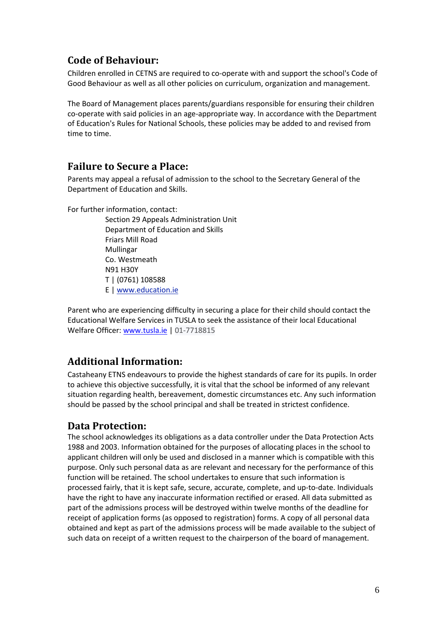# **Code of Behaviour:**

Children enrolled in CETNS are required to co-operate with and support the school's Code of Good Behaviour as well as all other policies on curriculum, organization and management.

The Board of Management places parents/guardians responsible for ensuring their children co-operate with said policies in an age-appropriate way. In accordance with the Department of Education's Rules for National Schools, these policies may be added to and revised from time to time.

## **Failure to Secure a Place:**

Parents may appeal a refusal of admission to the school to the Secretary General of the Department of Education and Skills.

For further information, contact:

Section 29 Appeals Administration Unit Department of Education and Skills Friars Mill Road Mullingar Co. Westmeath N91 H30Y T | (0761) 108588 E [| www.education.ie](http://www.education.ie/) 

Parent who are experiencing difficulty in securing a place for their child should contact the Educational Welfare Services in TUSLA to seek the assistance of their local Educational Welfare Officer: [www.tusla.ie](http://www.tusla.ie/) | 01-7718815

## **Additional Information:**

Castaheany ETNS endeavours to provide the highest standards of care for its pupils. In order to achieve this objective successfully, it is vital that the school be informed of any relevant situation regarding health, bereavement, domestic circumstances etc. Any such information should be passed by the school principal and shall be treated in strictest confidence.

## **Data Protection:**

The school acknowledges its obligations as a data controller under the Data Protection Acts 1988 and 2003. Information obtained for the purposes of allocating places in the school to applicant children will only be used and disclosed in a manner which is compatible with this purpose. Only such personal data as are relevant and necessary for the performance of this function will be retained. The school undertakes to ensure that such information is processed fairly, that it is kept safe, secure, accurate, complete, and up-to-date. Individuals have the right to have any inaccurate information rectified or erased. All data submitted as part of the admissions process will be destroyed within twelve months of the deadline for receipt of application forms (as opposed to registration) forms. A copy of all personal data obtained and kept as part of the admissions process will be made available to the subject of such data on receipt of a written request to the chairperson of the board of management.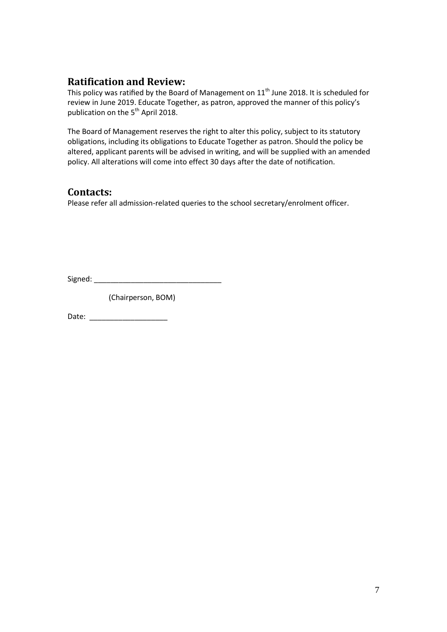### **Ratification and Review:**

This policy was ratified by the Board of Management on 11<sup>th</sup> June 2018. It is scheduled for review in June 2019. Educate Together, as patron, approved the manner of this policy's publication on the 5<sup>th</sup> April 2018.

The Board of Management reserves the right to alter this policy, subject to its statutory obligations, including its obligations to Educate Together as patron. Should the policy be altered, applicant parents will be advised in writing, and will be supplied with an amended policy. All alterations will come into effect 30 days after the date of notification.

#### **Contacts:**

Please refer all admission-related queries to the school secretary/enrolment officer.

Signed: \_\_\_\_\_\_\_\_\_\_\_\_\_\_\_\_\_\_\_\_\_\_\_\_\_\_\_\_\_\_\_

(Chairperson, BOM)

Date: \_\_\_\_\_\_\_\_\_\_\_\_\_\_\_\_\_\_\_